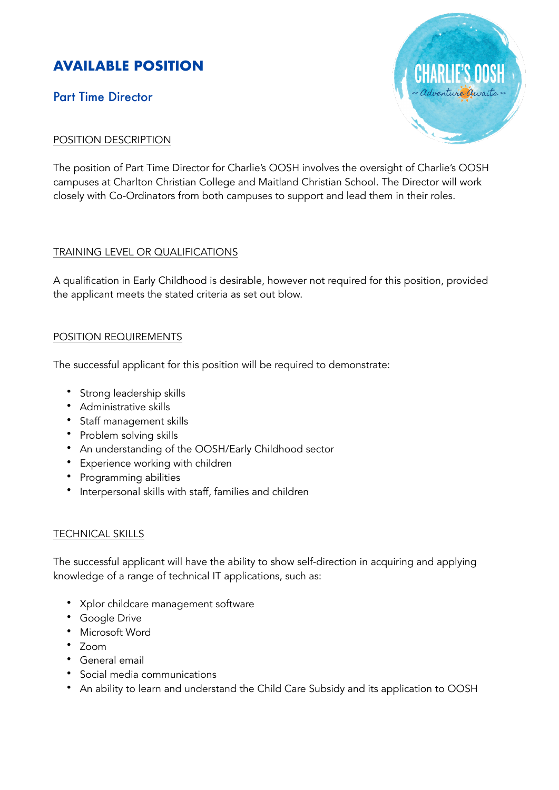# **AVAILABLE POSITION**

## Part Time Director

### POSITION DESCRIPTION

The position of Part Time Director for Charlie's OOSH involves the oversight of Charlie's OOSH campuses at Charlton Christian College and Maitland Christian School. The Director will work closely with Co-Ordinators from both campuses to support and lead them in their roles.

#### TRAINING LEVEL OR QUALIFICATIONS

A qualification in Early Childhood is desirable, however not required for this position, provided the applicant meets the stated criteria as set out blow.

### POSITION REQUIREMENTS

The successful applicant for this position will be required to demonstrate:

- Strong leadership skills
- Administrative skills
- Staff management skills
- Problem solving skills
- An understanding of the OOSH/Early Childhood sector
- Experience working with children
- Programming abilities
- Interpersonal skills with staff, families and children

#### **TECHNICAL SKILLS**

The successful applicant will have the ability to show self-direction in acquiring and applying knowledge of a range of technical IT applications, such as:

- Xplor childcare management software
- Google Drive
- Microsoft Word
- $\cdot$  700 $m$
- General email
- Social media communications
- An ability to learn and understand the Child Care Subsidy and its application to OOSH

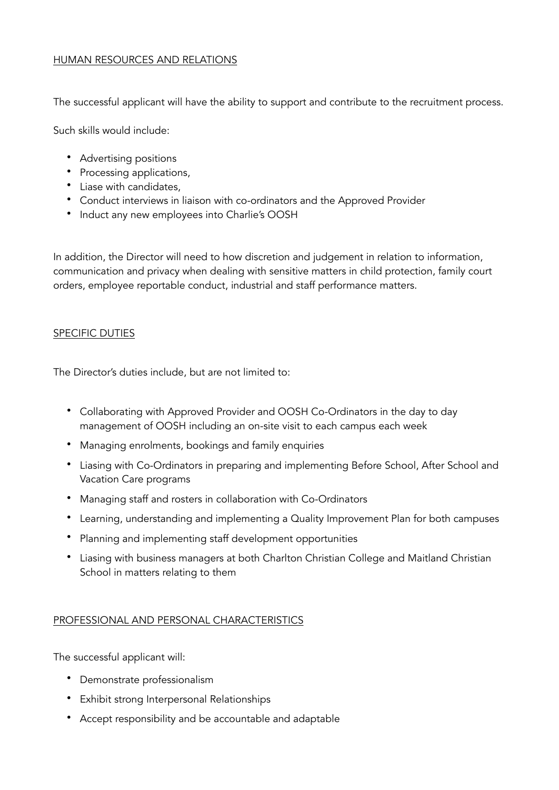#### HUMAN RESOURCES AND RELATIONS

The successful applicant will have the ability to support and contribute to the recruitment process.

Such skills would include:

- Advertising positions
- Processing applications,
- Liase with candidates,
- Conduct interviews in liaison with co-ordinators and the Approved Provider
- Induct any new employees into Charlie's OOSH

In addition, the Director will need to how discretion and judgement in relation to information, communication and privacy when dealing with sensitive matters in child protection, family court orders, employee reportable conduct, industrial and staff performance matters.

#### SPECIFIC DUTIES

The Director's duties include, but are not limited to:

- Collaborating with Approved Provider and OOSH Co-Ordinators in the day to day management of OOSH including an on-site visit to each campus each week
- Managing enrolments, bookings and family enquiries
- Liasing with Co-Ordinators in preparing and implementing Before School, After School and Vacation Care programs
- Managing staff and rosters in collaboration with Co-Ordinators
- Learning, understanding and implementing a Quality Improvement Plan for both campuses
- Planning and implementing staff development opportunities
- Liasing with business managers at both Charlton Christian College and Maitland Christian School in matters relating to them

#### PROFESSIONAL AND PERSONAL CHARACTERISTICS

The successful applicant will:

- Demonstrate professionalism
- Exhibit strong Interpersonal Relationships
- Accept responsibility and be accountable and adaptable